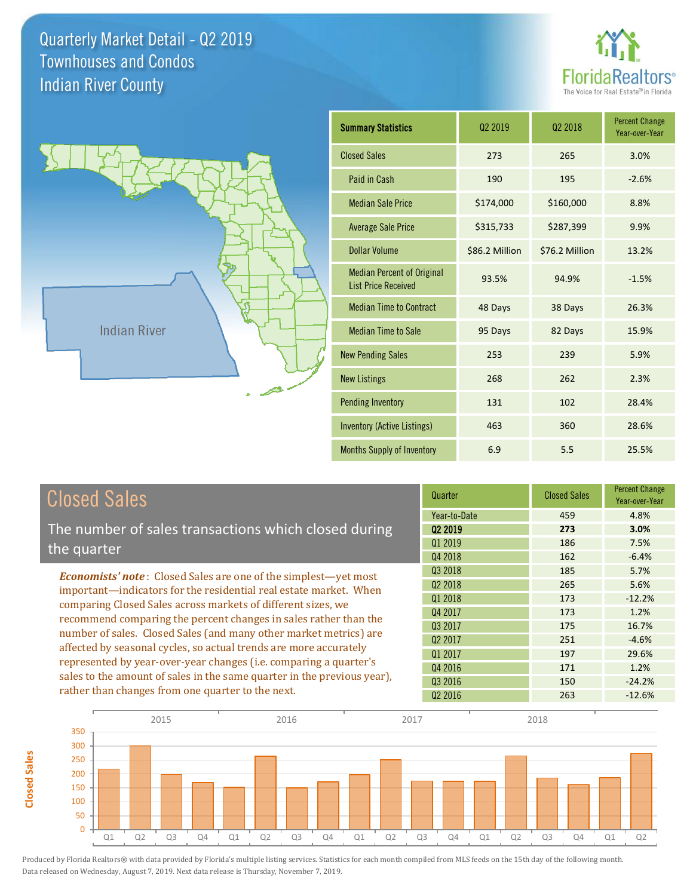**Closed Sales**

**Closed Sales** 





| <b>Summary Statistics</b>                                       | 02 2019        | 02 2018        | <b>Percent Change</b><br>Year-over-Year |  |
|-----------------------------------------------------------------|----------------|----------------|-----------------------------------------|--|
| <b>Closed Sales</b>                                             | 273            | 265            | 3.0%                                    |  |
| Paid in Cash                                                    | 190            | 195            | $-2.6%$                                 |  |
| <b>Median Sale Price</b>                                        | \$174,000      | \$160,000      | 8.8%                                    |  |
| <b>Average Sale Price</b>                                       | \$315,733      | \$287,399      | 9.9%                                    |  |
| Dollar Volume                                                   | \$86.2 Million | \$76.2 Million | 13.2%                                   |  |
| <b>Median Percent of Original</b><br><b>List Price Received</b> | 93.5%          | 94.9%          | $-1.5%$                                 |  |
| <b>Median Time to Contract</b>                                  | 48 Days        | 38 Days        | 26.3%                                   |  |
| <b>Median Time to Sale</b>                                      | 95 Days        | 82 Days        | 15.9%                                   |  |
| <b>New Pending Sales</b>                                        | 253            | 239            | 5.9%                                    |  |
| <b>New Listings</b>                                             | 268            | 262            | 2.3%                                    |  |
| <b>Pending Inventory</b>                                        | 131            | 102            | 28.4%                                   |  |
| <b>Inventory (Active Listings)</b>                              | 463            | 360            | 28.6%                                   |  |
| <b>Months Supply of Inventory</b>                               | 6.9            | 5.5            | 25.5%                                   |  |

| <b>Closed Sales</b>                                                     | Quarter             | <b>Closed Sales</b> | <b>Percent Change</b><br>Year-over-Year |
|-------------------------------------------------------------------------|---------------------|---------------------|-----------------------------------------|
|                                                                         | Year-to-Date        | 459                 | 4.8%                                    |
| The number of sales transactions which closed during                    | 02 2019             | 273                 | 3.0%                                    |
| the quarter                                                             | Q1 2019             | 186                 | 7.5%                                    |
|                                                                         | Q4 2018             | 162                 | $-6.4%$                                 |
| <b>Economists' note:</b> Closed Sales are one of the simplest—yet most  | Q3 2018             | 185                 | 5.7%                                    |
| important—indicators for the residential real estate market. When       | Q <sub>2</sub> 2018 | 265                 | 5.6%                                    |
| comparing Closed Sales across markets of different sizes, we            | Q1 2018             | 173                 | $-12.2%$                                |
| recommend comparing the percent changes in sales rather than the        | Q4 2017             | 173                 | 1.2%                                    |
| number of sales. Closed Sales (and many other market metrics) are       | Q3 2017             | 175                 | 16.7%                                   |
| affected by seasonal cycles, so actual trends are more accurately       | Q <sub>2</sub> 2017 | 251                 | $-4.6%$                                 |
|                                                                         | Q1 2017             | 197                 | 29.6%                                   |
| represented by year-over-year changes (i.e. comparing a quarter's       | Q4 2016             | 171                 | 1.2%                                    |
| sales to the amount of sales in the same quarter in the previous year), | 03 2016             | 150                 | $-24.2%$                                |
| rather than changes from one quarter to the next.                       | Q <sub>2</sub> 2016 | 263                 | $-12.6%$                                |

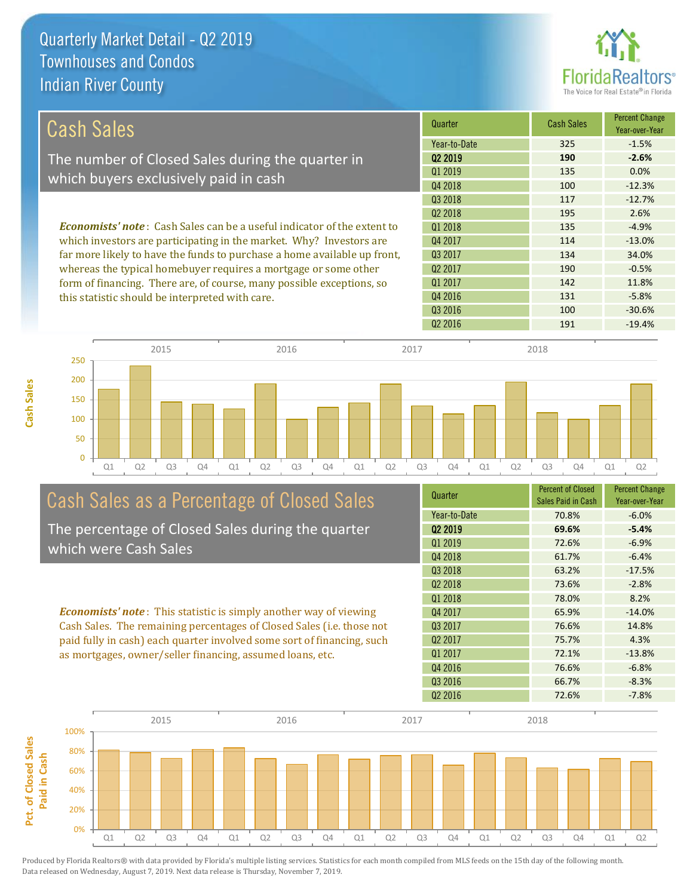**Cash Sales**



| Cash Sales                                                                     | Quarter             | <b>Cash Sales</b> | <b>Percent Change</b><br>Year-over-Year |
|--------------------------------------------------------------------------------|---------------------|-------------------|-----------------------------------------|
|                                                                                | Year-to-Date        | 325               | $-1.5%$                                 |
| The number of Closed Sales during the quarter in                               | 02 2019             | 190               | $-2.6%$                                 |
| which buyers exclusively paid in cash                                          | 01 2019             | 135               | $0.0\%$                                 |
|                                                                                | Q4 2018             | 100               | $-12.3%$                                |
|                                                                                | 03 2018             | 117               | $-12.7%$                                |
|                                                                                | 02 2018             | 195               | 2.6%                                    |
| <b>Economists' note:</b> Cash Sales can be a useful indicator of the extent to | 01 2018             | 135               | $-4.9%$                                 |
| which investors are participating in the market. Why? Investors are            | Q4 2017             | 114               | $-13.0%$                                |
| far more likely to have the funds to purchase a home available up front,       | 03 2017             | 134               | 34.0%                                   |
| whereas the typical homebuyer requires a mortgage or some other                | Q <sub>2</sub> 2017 | 190               | $-0.5%$                                 |
| form of financing. There are, of course, many possible exceptions, so          | 01 2017             | 142               | 11.8%                                   |
| this statistic should be interpreted with care.                                | 04 2016             | 131               | $-5.8%$                                 |
|                                                                                | Q3 2016             | 100               | $-30.6%$                                |



# Cash Sales as a Percentage of Closed Sales

The percentage of Closed Sales during the quarter which were Cash Sales

*Economists' note* : This statistic is simply another way of viewing Cash Sales. The remaining percentages of Closed Sales (i.e. those not paid fully in cash) each quarter involved some sort of financing, such as mortgages, owner/seller financing, assumed loans, etc.

| Quarter             | <b>Percent of Closed</b><br>Sales Paid in Cash | <b>Percent Change</b><br>Year-over-Year |
|---------------------|------------------------------------------------|-----------------------------------------|
| Year-to-Date        | 70.8%                                          | $-6.0%$                                 |
| 02 2019             | 69.6%                                          | $-5.4%$                                 |
| 01 2019             | 72.6%                                          | $-6.9%$                                 |
| Q4 2018             | 61.7%                                          | $-6.4%$                                 |
| Q3 2018             | 63.2%                                          | $-17.5%$                                |
| Q <sub>2</sub> 2018 | 73.6%                                          | $-2.8%$                                 |
| Q1 2018             | 78.0%                                          | 8.2%                                    |
| Q4 2017             | 65.9%                                          | $-14.0%$                                |
| Q3 2017             | 76.6%                                          | 14.8%                                   |
| Q <sub>2</sub> 2017 | 75.7%                                          | 4.3%                                    |
| 01 2017             | 72.1%                                          | $-13.8%$                                |
| Q4 2016             | 76.6%                                          | $-6.8%$                                 |
| Q3 2016             | 66.7%                                          | $-8.3%$                                 |
| Q <sub>2</sub> 2016 | 72.6%                                          | $-7.8%$                                 |
|                     |                                                |                                         |

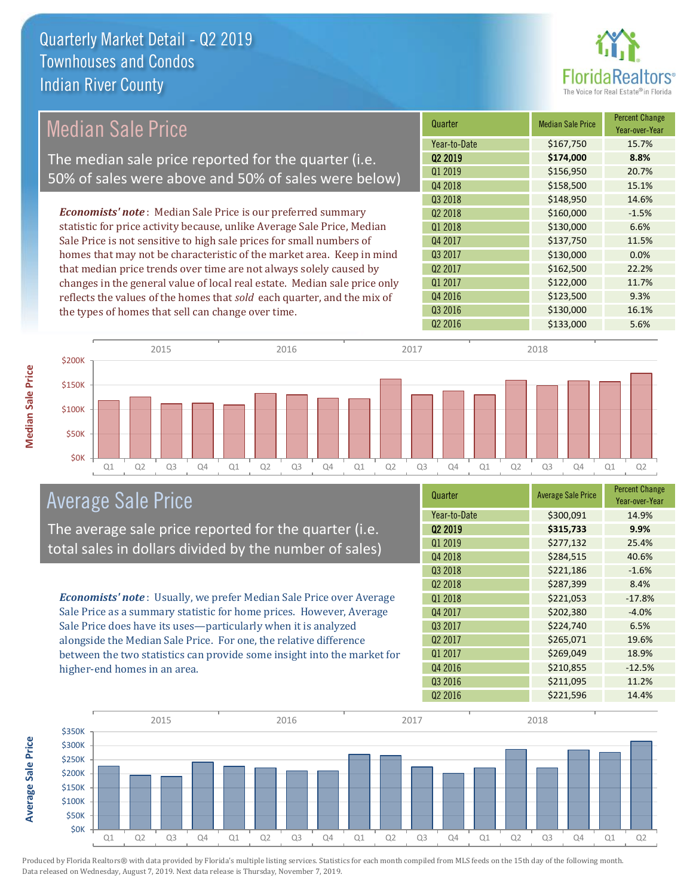

# Median Sale Price

The median sale price reported for the quarter (i.e. 50% of sales were above and 50% of sales were below)

*Economists' note* : Median Sale Price is our preferred summary statistic for price activity because, unlike Average Sale Price, Median Sale Price is not sensitive to high sale prices for small numbers of homes that may not be characteristic of the market area. Keep in mind that median price trends over time are not always solely caused by changes in the general value of local real estate. Median sale price only reflects the values of the homes that *sold* each quarter, and the mix of the types of homes that sell can change over time.

| Quarter             | <b>Median Sale Price</b> | <b>Percent Change</b><br>Year-over-Year |
|---------------------|--------------------------|-----------------------------------------|
| Year-to-Date        | \$167,750                | 15.7%                                   |
| Q <sub>2</sub> 2019 | \$174,000                | 8.8%                                    |
| Q1 2019             | \$156,950                | 20.7%                                   |
| Q4 2018             | \$158,500                | 15.1%                                   |
| Q3 2018             | \$148,950                | 14.6%                                   |
| Q <sub>2</sub> 2018 | \$160,000                | $-1.5%$                                 |
| Q1 2018             | \$130,000                | 6.6%                                    |
| Q4 2017             | \$137,750                | 11.5%                                   |
| Q3 2017             | \$130,000                | 0.0%                                    |
| Q <sub>2</sub> 2017 | \$162,500                | 22.2%                                   |
| Q1 2017             | \$122,000                | 11.7%                                   |
| Q4 2016             | \$123,500                | 9.3%                                    |
| Q3 2016             | \$130,000                | 16.1%                                   |
| Q <sub>2</sub> 2016 | \$133,000                | 5.6%                                    |



### Average Sale Price

The average sale price reported for the quarter (i.e. total sales in dollars divided by the number of sales)

*Economists' note* : Usually, we prefer Median Sale Price over Average Sale Price as a summary statistic for home prices. However, Average Sale Price does have its uses—particularly when it is analyzed alongside the Median Sale Price. For one, the relative difference between the two statistics can provide some insight into the market for higher-end homes in an area.

| Quarter             | <b>Average Sale Price</b> | <b>Percent Change</b><br>Year-over-Year |
|---------------------|---------------------------|-----------------------------------------|
| Year-to-Date        | \$300,091                 | 14.9%                                   |
| Q2 2019             | \$315,733                 | 9.9%                                    |
| Q1 2019             | \$277,132                 | 25.4%                                   |
| Q4 2018             | \$284,515                 | 40.6%                                   |
| Q3 2018             | \$221,186                 | $-1.6%$                                 |
| Q <sub>2</sub> 2018 | \$287,399                 | 8.4%                                    |
| Q1 2018             | \$221,053                 | $-17.8%$                                |
| Q4 2017             | \$202,380                 | $-4.0%$                                 |
| 03 2017             | \$224,740                 | 6.5%                                    |
| Q <sub>2</sub> 2017 | \$265,071                 | 19.6%                                   |
| Q1 2017             | \$269,049                 | 18.9%                                   |
| Q4 2016             | \$210,855                 | $-12.5%$                                |
| Q3 2016             | \$211,095                 | 11.2%                                   |
| Q <sub>2</sub> 2016 | \$221,596                 | 14.4%                                   |



**Average Sale Price Average Sale Price**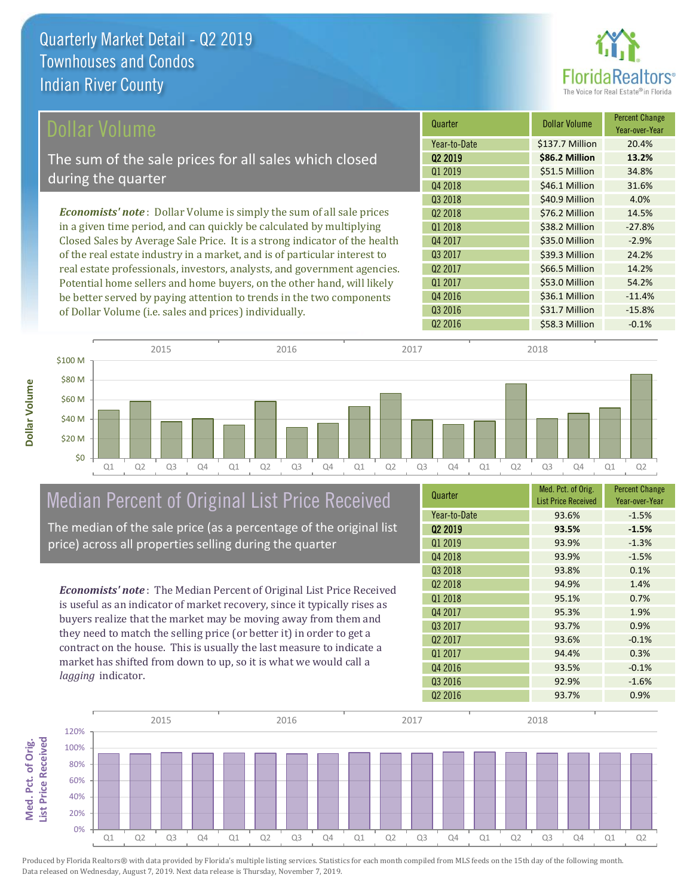

| Dollar Volume                                                                | Quarter             | <b>Dollar Volume</b> | <b>Percent Change</b><br>Year-over-Year |
|------------------------------------------------------------------------------|---------------------|----------------------|-----------------------------------------|
|                                                                              | Year-to-Date        | \$137.7 Million      | 20.4%                                   |
| The sum of the sale prices for all sales which closed                        | 02 2019             | \$86.2 Million       | 13.2%                                   |
| during the quarter                                                           | Q1 2019             | \$51.5 Million       | 34.8%                                   |
|                                                                              | Q4 2018             | \$46.1 Million       | 31.6%                                   |
|                                                                              | Q3 2018             | \$40.9 Million       | 4.0%                                    |
| <b>Economists' note</b> : Dollar Volume is simply the sum of all sale prices | Q <sub>2</sub> 2018 | \$76.2 Million       | 14.5%                                   |
| in a given time period, and can quickly be calculated by multiplying         | Q1 2018             | \$38.2 Million       | $-27.8%$                                |
| Closed Sales by Average Sale Price. It is a strong indicator of the health   | Q4 2017             | \$35.0 Million       | $-2.9%$                                 |
| of the real estate industry in a market, and is of particular interest to    | Q3 2017             | \$39.3 Million       | 24.2%                                   |
| real estate professionals, investors, analysts, and government agencies.     | Q <sub>2</sub> 2017 | \$66.5 Million       | 14.2%                                   |
| Potential home sellers and home buyers, on the other hand, will likely       | Q1 2017             | \$53.0 Million       | 54.2%                                   |
| be better served by paying attention to trends in the two components         | Q4 2016             | \$36.1 Million       | $-11.4%$                                |
| of Dollar Volume (i.e. sales and prices) individually.                       | Q3 2016             | \$31.7 Million       | $-15.8%$                                |

Q1 Q2 Q3 Q4 Q1 Q2 Q3 Q4 Q1 Q2 Q3 Q4 Q1 Q2 Q3 Q4 Q1 Q2 \$0 \$20 M \$40 M \$60 M \$80 M \$100 M 2015 2016 2017 2018

# Median Percent of Original List Price Received

The median of the sale price (as a percentage of the original list price) across all properties selling during the quarter

*Economists' note* : The Median Percent of Original List Price Received is useful as an indicator of market recovery, since it typically rises as buyers realize that the market may be moving away from them and they need to match the selling price (or better it) in order to get a contract on the house. This is usually the last measure to indicate a market has shifted from down to up, so it is what we would call a *lagging* indicator.

| Quarter             | Med. Pct. of Orig.<br><b>List Price Received</b> | <b>Percent Change</b><br>Year-over-Year |  |  |  |
|---------------------|--------------------------------------------------|-----------------------------------------|--|--|--|
| Year-to-Date        | 93.6%                                            | $-1.5%$                                 |  |  |  |
| 02 2019             | 93.5%                                            | $-1.5%$                                 |  |  |  |
| Q1 2019             | 93.9%                                            | $-1.3%$                                 |  |  |  |
| Q4 2018             | 93.9%                                            | $-1.5%$                                 |  |  |  |
| Q3 2018             | 93.8%                                            | 0.1%                                    |  |  |  |
| Q <sub>2</sub> 2018 | 94.9%                                            | 1.4%                                    |  |  |  |
| 01 2018             | 95.1%                                            | 0.7%                                    |  |  |  |
| Q4 2017             | 95.3%                                            | 1.9%                                    |  |  |  |
| 03 2017             | 93.7%                                            | 0.9%                                    |  |  |  |
| Q <sub>2</sub> 2017 | 93.6%                                            | $-0.1%$                                 |  |  |  |
| Q1 2017             | 94.4%                                            | 0.3%                                    |  |  |  |
| Q4 2016             | 93.5%                                            | $-0.1%$                                 |  |  |  |
| Q3 2016             | 92.9%                                            | $-1.6%$                                 |  |  |  |
| Q <sub>2</sub> 2016 | 93.7%                                            | 0.9%                                    |  |  |  |

Q2 2016 558.3 Million -0.1%



Med. Pct. of Orig.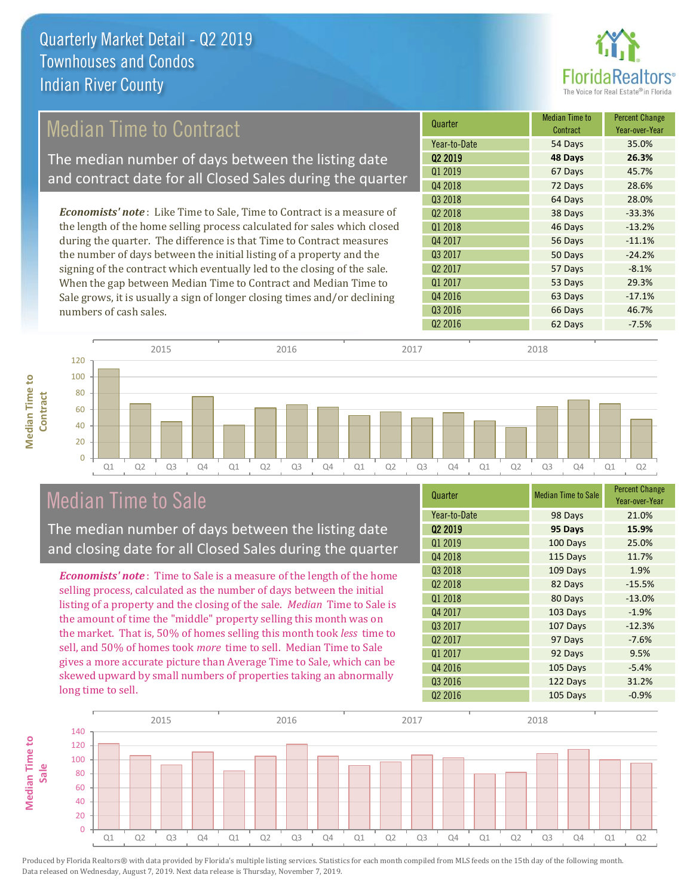

## Median Time to Contract

The median number of days between the listing date and contract date for all Closed Sales during the quarter

*Economists' note* : Like Time to Sale, Time to Contract is a measure of the length of the home selling process calculated for sales which closed during the quarter. The difference is that Time to Contract measures the number of days between the initial listing of a property and the signing of the contract which eventually led to the closing of the sale. When the gap between Median Time to Contract and Median Time to Sale grows, it is usually a sign of longer closing times and/or declining numbers of cash sales.





## Median Time to Sale

**Median Time to** 

**Median Time to** 

The median number of days between the listing date and closing date for all Closed Sales during the quarter

*Economists' note* : Time to Sale is a measure of the length of the home selling process, calculated as the number of days between the initial listing of a property and the closing of the sale. *Median* Time to Sale is the amount of time the "middle" property selling this month was on the market. That is, 50% of homes selling this month took *less* time to sell, and 50% of homes took *more* time to sell. Median Time to Sale gives a more accurate picture than Average Time to Sale, which can be skewed upward by small numbers of properties taking an abnormally long time to sell.

| Quarter             | <b>Median Time to Sale</b> | <b>Percent Change</b><br>Year-over-Year |  |  |  |  |
|---------------------|----------------------------|-----------------------------------------|--|--|--|--|
| Year-to-Date        | 98 Days                    | 21.0%                                   |  |  |  |  |
| Q2 2019             | 95 Days                    | 15.9%                                   |  |  |  |  |
| Q1 2019             | 100 Days                   | 25.0%                                   |  |  |  |  |
| Q4 2018             | 115 Days                   | 11.7%                                   |  |  |  |  |
| Q3 2018             | 109 Days<br>1.9%           |                                         |  |  |  |  |
| Q <sub>2</sub> 2018 | 82 Days                    | $-15.5%$                                |  |  |  |  |
| Q1 2018             | 80 Days                    | $-13.0%$                                |  |  |  |  |
| Q4 2017             | 103 Days                   | $-1.9%$                                 |  |  |  |  |
| Q3 2017             | 107 Days                   | $-12.3%$                                |  |  |  |  |
| Q <sub>2</sub> 2017 | 97 Days                    | $-7.6%$                                 |  |  |  |  |
| Q1 2017             | 92 Days                    | 9.5%                                    |  |  |  |  |
| Q4 2016             | 105 Days                   | $-5.4%$                                 |  |  |  |  |
| Q3 2016             | 122 Days                   | 31.2%                                   |  |  |  |  |
| Q <sub>2</sub> 2016 | 105 Days                   | $-0.9%$                                 |  |  |  |  |

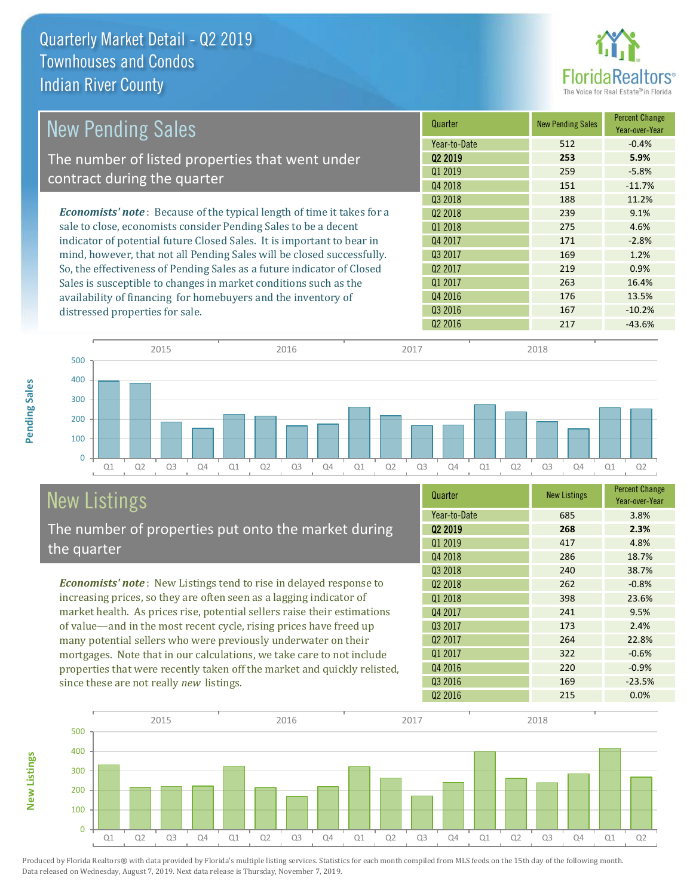

| <b>New Pending Sales</b>                                                      | Quarter             | <b>New Pending Sales</b> | <b>Percent Change</b><br>Year-over-Year |
|-------------------------------------------------------------------------------|---------------------|--------------------------|-----------------------------------------|
|                                                                               | Year-to-Date        | 512                      | $-0.4%$                                 |
| The number of listed properties that went under                               | Q <sub>2</sub> 2019 | 253                      | 5.9%                                    |
| contract during the quarter                                                   | Q1 2019             | 259                      | $-5.8%$                                 |
|                                                                               | Q4 2018             | 151                      | $-11.7%$                                |
|                                                                               | 03 2018             | 188                      | 11.2%                                   |
| <b>Economists' note:</b> Because of the typical length of time it takes for a | 02 2018             | 239                      | 9.1%                                    |
| sale to close, economists consider Pending Sales to be a decent               | Q1 2018             | 275                      | 4.6%                                    |
| indicator of potential future Closed Sales. It is important to bear in        | Q4 2017             | 171                      | $-2.8%$                                 |
| mind, however, that not all Pending Sales will be closed successfully.        | Q3 2017             | 169                      | 1.2%                                    |
| So, the effectiveness of Pending Sales as a future indicator of Closed        | Q <sub>2</sub> 2017 | 219                      | 0.9%                                    |
| Sales is susceptible to changes in market conditions such as the              | Q1 2017             | 263                      | 16.4%                                   |
| availability of financing for homebuyers and the inventory of                 | Q4 2016             | 176                      | 13.5%                                   |
| distressed properties for sale.                                               | Q3 2016             | 167                      | $-10.2%$                                |
|                                                                               | Q <sub>2</sub> 2016 | 217                      | $-43.6%$                                |

**New Listings**

| 500 |    |    | 2015           |    |    |                | 2016 |    |    |    | 2017           |                |    |    | 2018           |    |    |    |  |
|-----|----|----|----------------|----|----|----------------|------|----|----|----|----------------|----------------|----|----|----------------|----|----|----|--|
|     |    |    |                |    |    |                |      |    |    |    |                |                |    |    |                |    |    |    |  |
| 400 |    |    |                |    |    |                |      |    |    |    |                |                |    |    |                |    |    |    |  |
| 300 |    |    |                |    |    |                |      |    |    |    |                |                |    |    |                |    |    |    |  |
| 200 |    |    |                |    |    |                |      |    |    |    |                |                |    |    |                |    |    |    |  |
| 100 |    |    |                |    |    |                |      |    |    |    |                |                |    |    |                |    |    |    |  |
| 0   |    |    |                |    |    |                |      |    |    |    |                |                |    |    |                |    |    |    |  |
|     | Q1 | Q2 | Q <sub>3</sub> | Q4 | Q1 | Q <sub>2</sub> | Q3   | Q4 | Q1 | Q2 | Q <sub>3</sub> | Q <sub>4</sub> | Q1 | Q2 | Q <sub>3</sub> | Q4 | Q1 | Q2 |  |

# New Listings

The number of properties put onto the market during the quarter

*Economists' note* : New Listings tend to rise in delayed response to increasing prices, so they are often seen as a lagging indicator of market health. As prices rise, potential sellers raise their estimations of value—and in the most recent cycle, rising prices have freed up many potential sellers who were previously underwater on their mortgages. Note that in our calculations, we take care to not include properties that were recently taken off the market and quickly relisted, since these are not really *new* listings.

| Quarter             | <b>New Listings</b> | <b>Percent Change</b><br>Year-over-Year |  |  |  |  |
|---------------------|---------------------|-----------------------------------------|--|--|--|--|
| Year-to-Date        | 685                 | 3.8%                                    |  |  |  |  |
| 02 2019             | 268                 | 2.3%                                    |  |  |  |  |
| Q1 2019             | 417                 | 4.8%                                    |  |  |  |  |
| Q4 2018             | 286                 | 18.7%                                   |  |  |  |  |
| 03 2018             | 240                 | 38.7%                                   |  |  |  |  |
| Q <sub>2</sub> 2018 | 262                 | $-0.8%$                                 |  |  |  |  |
| Q1 2018             | 398                 | 23.6%                                   |  |  |  |  |
| Q4 2017             | 241                 | 9.5%                                    |  |  |  |  |
| Q3 2017             | 173                 | 2.4%                                    |  |  |  |  |
| Q <sub>2</sub> 2017 | 264                 | 22.8%                                   |  |  |  |  |
| Q1 2017             | 322                 | $-0.6%$                                 |  |  |  |  |
| Q4 2016             | 220                 | $-0.9%$                                 |  |  |  |  |
| Q3 2016             | 169                 | $-23.5%$                                |  |  |  |  |
| Q <sub>2</sub> 2016 | 215                 | 0.0%                                    |  |  |  |  |

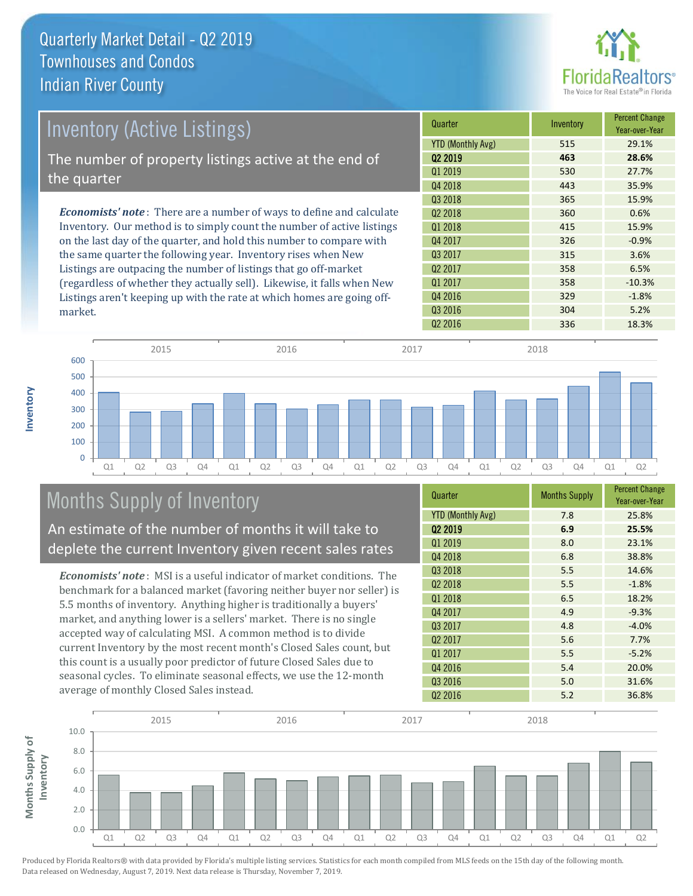

| Inventory (Active Listings)                                                  | Quarter                  | Inventory | <b>Percent Change</b><br>Year-over-Year |
|------------------------------------------------------------------------------|--------------------------|-----------|-----------------------------------------|
|                                                                              | <b>YTD (Monthly Avg)</b> | 515       | 29.1%                                   |
| The number of property listings active at the end of                         | 02 2019                  | 463       | 28.6%                                   |
|                                                                              | 01 2019                  | 530       | 27.7%                                   |
| the quarter                                                                  | Q4 2018                  | 443       | 35.9%                                   |
|                                                                              | 03 2018                  | 365       | 15.9%                                   |
| <b>Economists' note</b> : There are a number of ways to define and calculate | 02 2018                  | 360       | 0.6%                                    |
| Inventory. Our method is to simply count the number of active listings       | 01 2018                  | 415       | 15.9%                                   |
| on the last day of the quarter, and hold this number to compare with         | Q4 2017                  | 326       | $-0.9%$                                 |
| the same quarter the following year. Inventory rises when New                | 03 2017                  | 315       | 3.6%                                    |
| Listings are outpacing the number of listings that go off-market             | Q <sub>2</sub> 2017      | 358       | 6.5%                                    |
| (regardless of whether they actually sell). Likewise, it falls when New      | Q1 2017                  | 358       | $-10.3%$                                |
| Listings aren't keeping up with the rate at which homes are going off-       | 04 2016                  | 329       | $-1.8%$                                 |



# Months Supply of Inventory

An estimate of the number of months it will take to deplete the current Inventory given recent sales rates

*Economists' note* : MSI is a useful indicator of market conditions. The benchmark for a balanced market (favoring neither buyer nor seller) is 5.5 months of inventory. Anything higher is traditionally a buyers' market, and anything lower is a sellers' market. There is no single accepted way of calculating MSI. A common method is to divide current Inventory by the most recent month's Closed Sales count, but this count is a usually poor predictor of future Closed Sales due to seasonal cycles. To eliminate seasonal effects, we use the 12-month average of monthly Closed Sales instead.

| Quarter                  | <b>Months Supply</b> | <b>Percent Change</b><br>Year-over-Year |
|--------------------------|----------------------|-----------------------------------------|
| <b>YTD (Monthly Avg)</b> | 7.8                  | 25.8%                                   |
| Q <sub>2</sub> 2019      | 6.9                  | 25.5%                                   |
| Q1 2019                  | 8.0                  | 23.1%                                   |
| Q4 2018                  | 6.8                  | 38.8%                                   |
| Q3 2018                  | 5.5                  | 14.6%                                   |
| 02 2018                  | 5.5                  | $-1.8%$                                 |
| Q1 2018                  | 6.5                  | 18.2%                                   |
| Q4 2017                  | 4.9                  | $-9.3%$                                 |
| Q3 2017                  | 4.8                  | $-4.0%$                                 |
| Q <sub>2</sub> 2017      | 5.6                  | 7.7%                                    |
| Q1 2017                  | 5.5                  | $-5.2%$                                 |
| Q4 2016                  | 5.4                  | 20.0%                                   |
| Q3 2016                  | 5.0                  | 31.6%                                   |
| Q <sub>2</sub> 2016      | 5.2                  | 36.8%                                   |

Q3 2016 304 5.2%



Produced by Florida Realtors® with data provided by Florida's multiple listing services. Statistics for each month compiled from MLS feeds on the 15th day of the following month. Data released on Wednesday, August 7, 2019. Next data release is Thursday, November 7, 2019.

market.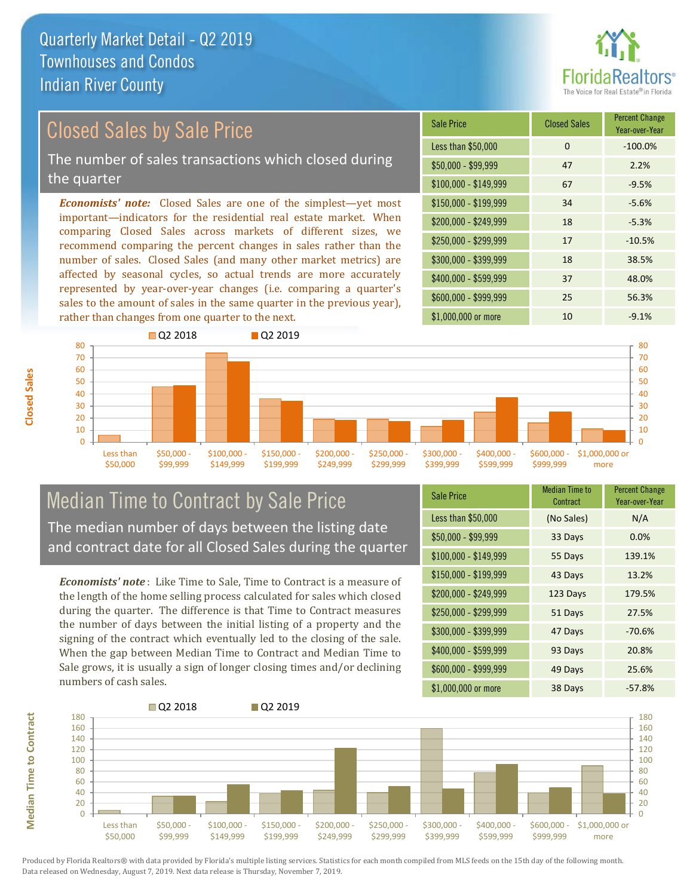

# Closed Sales by Sale Price

The number of sales transactions which closed during the quarter

*Economists' note:* Closed Sales are one of the simplest—yet most important—indicators for the residential real estate market. When comparing Closed Sales across markets of different sizes, we recommend comparing the percent changes in sales rather than the number of sales. Closed Sales (and many other market metrics) are affected by seasonal cycles, so actual trends are more accurately represented by year-over-year changes (i.e. comparing a quarter's sales to the amount of sales in the same quarter in the previous year), rather than changes from one quarter to the next.

| <b>Sale Price</b>     | <b>Closed Sales</b> | <b>Percent Change</b><br>Year-over-Year |
|-----------------------|---------------------|-----------------------------------------|
| Less than \$50,000    | $\Omega$            | $-100.0%$                               |
| $$50,000 - $99,999$   | 47                  | 2.2%                                    |
| $$100,000 - $149,999$ | 67                  | $-9.5%$                                 |
| $$150,000 - $199,999$ | 34                  | $-5.6%$                                 |
| \$200,000 - \$249,999 | 18                  | $-5.3%$                                 |
| \$250,000 - \$299,999 | 17                  | $-10.5%$                                |
| \$300,000 - \$399,999 | 18                  | 38.5%                                   |
| \$400,000 - \$599,999 | 37                  | 48.0%                                   |
| \$600,000 - \$999,999 | 25                  | 56.3%                                   |
| \$1,000,000 or more   | 10                  | $-9.1%$                                 |



### Median Time to Contract by Sale Price The median number of days between the listing date and contract date for all Closed Sales during the quarter

*Economists' note* : Like Time to Sale, Time to Contract is a measure of the length of the home selling process calculated for sales which closed during the quarter. The difference is that Time to Contract measures the number of days between the initial listing of a property and the signing of the contract which eventually led to the closing of the sale. When the gap between Median Time to Contract and Median Time to Sale grows, it is usually a sign of longer closing times and/or declining numbers of cash sales.

| <b>Sale Price</b>     | <b>Median Time to</b><br>Contract | <b>Percent Change</b><br>Year-over-Year |
|-----------------------|-----------------------------------|-----------------------------------------|
| Less than \$50,000    | (No Sales)                        | N/A                                     |
| $$50,000 - $99,999$   | 33 Days                           | 0.0%                                    |
| $$100,000 - $149,999$ | 55 Days                           | 139.1%                                  |
| \$150,000 - \$199,999 | 43 Days                           | 13.2%                                   |
| \$200,000 - \$249,999 | 123 Days                          | 179.5%                                  |
| \$250,000 - \$299,999 | 51 Days                           | 27.5%                                   |
| \$300,000 - \$399,999 | 47 Days                           | $-70.6%$                                |
| \$400,000 - \$599,999 | 93 Days                           | 20.8%                                   |
| \$600,000 - \$999,999 | 49 Days                           | 25.6%                                   |
| \$1,000,000 or more   | 38 Days                           | $-57.8%$                                |

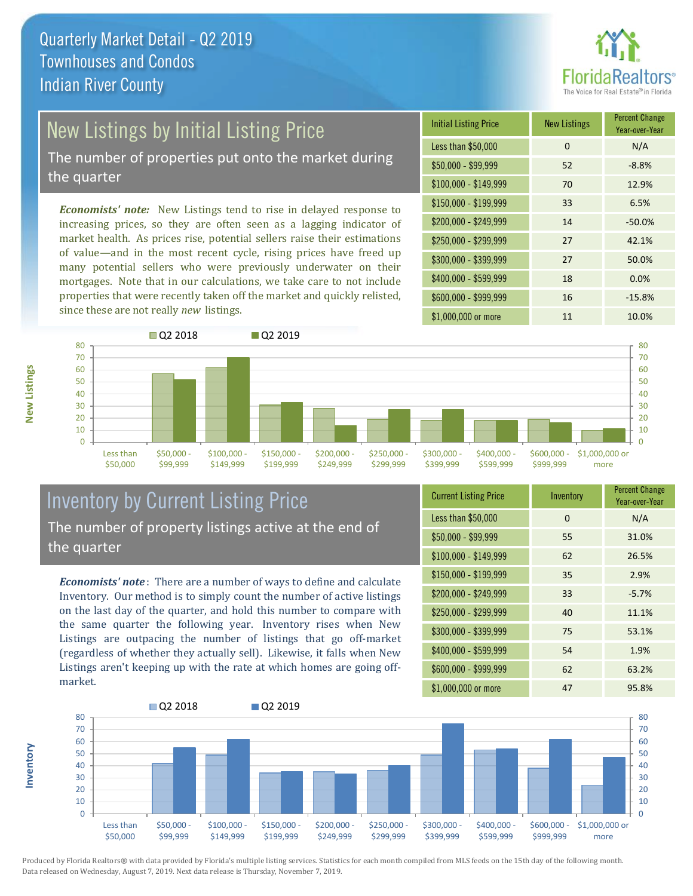

# New Listings by Initial Listing Price

The number of properties put onto the market during the quarter

*Economists' note:* New Listings tend to rise in delayed response to increasing prices, so they are often seen as a lagging indicator of market health. As prices rise, potential sellers raise their estimations of value—and in the most recent cycle, rising prices have freed up many potential sellers who were previously underwater on their mortgages. Note that in our calculations, we take care to not include properties that were recently taken off the market and quickly relisted, since these are not really *new* listings.

| <b>Initial Listing Price</b> | <b>New Listings</b> | <b>Percent Change</b><br>Year-over-Year |
|------------------------------|---------------------|-----------------------------------------|
| Less than \$50,000           | 0                   | N/A                                     |
| $$50,000 - $99,999$          | 52                  | $-8.8%$                                 |
| $$100,000 - $149,999$        | 70                  | 12.9%                                   |
| $$150,000 - $199,999$        | 33                  | 6.5%                                    |
| \$200,000 - \$249,999        | 14                  | $-50.0%$                                |
| \$250,000 - \$299,999        | 27                  | 42.1%                                   |
| \$300,000 - \$399,999        | 27                  | 50.0%                                   |
| \$400,000 - \$599,999        | 18                  | 0.0%                                    |
| \$600,000 - \$999,999        | 16                  | $-15.8%$                                |
| \$1,000,000 or more          | 11                  | 10.0%                                   |



### Inventory by Current Listing Price The number of property listings active at the end of the quarter

*Economists' note* : There are a number of ways to define and calculate Inventory. Our method is to simply count the number of active listings on the last day of the quarter, and hold this number to compare with the same quarter the following year. Inventory rises when New Listings are outpacing the number of listings that go off-market (regardless of whether they actually sell). Likewise, it falls when New Listings aren't keeping up with the rate at which homes are going offmarket.

| <b>Current Listing Price</b> | Inventory | <b>Percent Change</b><br>Year-over-Year |
|------------------------------|-----------|-----------------------------------------|
| Less than \$50,000           | 0         | N/A                                     |
| $$50,000 - $99,999$          | 55        | 31.0%                                   |
| $$100,000 - $149,999$        | 62        | 26.5%                                   |
| $$150,000 - $199,999$        | 35        | 2.9%                                    |
| \$200,000 - \$249,999        | 33        | $-5.7%$                                 |
| \$250,000 - \$299,999        | 40        | 11.1%                                   |
| \$300,000 - \$399,999        | 75        | 53.1%                                   |
| $$400,000 - $599,999$        | 54        | 1.9%                                    |
| \$600,000 - \$999,999        | 62        | 63.2%                                   |
| \$1,000,000 or more          | 47        | 95.8%                                   |



Produced by Florida Realtors® with data provided by Florida's multiple listing services. Statistics for each month compiled from MLS feeds on the 15th day of the following month. Data released on Wednesday, August 7, 2019. Next data release is Thursday, November 7, 2019.

**Inventory**